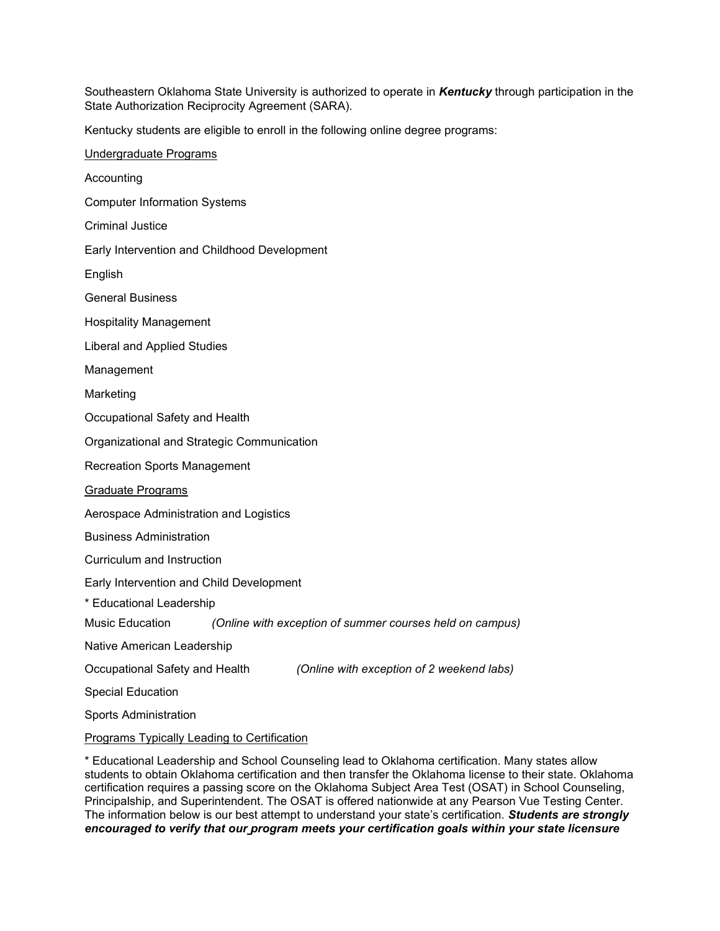Southeastern Oklahoma State University is authorized to operate in *Kentucky* through participation in the State Authorization Reciprocity Agreement (SARA).

Kentucky students are eligible to enroll in the following online degree programs:

Undergraduate Programs Accounting Computer Information Systems Criminal Justice Early Intervention and Childhood Development English General Business Hospitality Management Liberal and Applied Studies Management Marketing Occupational Safety and Health Organizational and Strategic Communication Recreation Sports Management Graduate Programs Aerospace Administration and Logistics Business Administration Curriculum and Instruction Early Intervention and Child Development \* Educational Leadership Music Education *(Online with exception of summer courses held on campus)* Native American Leadership Occupational Safety and Health *(Online with exception of 2 weekend labs)* Special Education Sports Administration Programs Typically Leading to Certification

\* Educational Leadership and School Counseling lead to Oklahoma certification. Many states allow students to obtain Oklahoma certification and then transfer the Oklahoma license to their state. Oklahoma certification requires a passing score on the Oklahoma Subject Area Test (OSAT) in School Counseling, Principalship, and Superintendent. The OSAT is offered nationwide at any Pearson Vue Testing Center. The information below is our best attempt to understand your state's certification. *Students are strongly encouraged to verify that our program meets your certification goals within your state licensure*